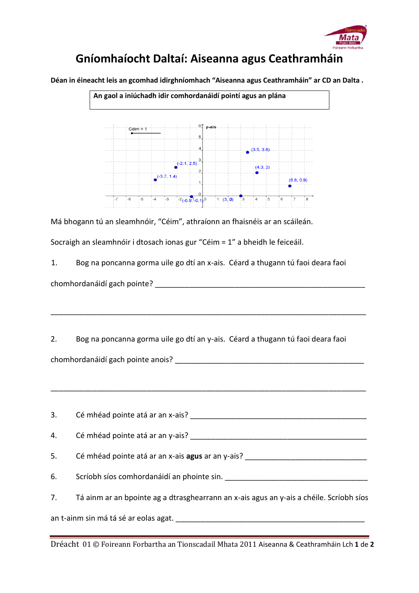

## **Gníomhaíocht Daltaí: Aiseanna agus Ceathramháin**

**Déan in éineacht leis an gcomhad idirghníomhach "Aiseanna agus Ceathramháin" ar CD an Dalta .** 



Má bhogann tú an sleamhnóir, "Céim", athraíonn an fhaisnéis ar an scáileán.

Socraigh an sleamhnóir i dtosach ionas gur "Céim = 1" a bheidh le feiceáil.

1. Bog na poncanna gorma uile go dtí an x-ais. Céard a thugann tú faoi deara faoi chomhordanáidí gach pointe? \_\_\_\_\_\_\_\_\_\_\_\_\_\_\_\_\_\_\_\_\_\_\_\_\_\_\_\_\_\_\_\_\_\_\_\_\_\_\_\_\_\_\_\_\_\_\_\_\_\_

2. Bog na poncanna gorma uile go dtí an y-ais. Céard a thugann tú faoi deara faoi chomhordanáidí gach pointe anois? \_\_\_\_\_\_\_\_\_\_\_\_\_\_\_\_\_\_\_\_\_\_\_\_\_\_\_\_\_\_\_\_\_\_\_\_\_\_\_\_\_\_\_\_\_

\_\_\_\_\_\_\_\_\_\_\_\_\_\_\_\_\_\_\_\_\_\_\_\_\_\_\_\_\_\_\_\_\_\_\_\_\_\_\_\_\_\_\_\_\_\_\_\_\_\_\_\_\_\_\_\_\_\_\_\_\_\_\_\_\_\_\_\_\_\_\_\_\_\_\_

\_\_\_\_\_\_\_\_\_\_\_\_\_\_\_\_\_\_\_\_\_\_\_\_\_\_\_\_\_\_\_\_\_\_\_\_\_\_\_\_\_\_\_\_\_\_\_\_\_\_\_\_\_\_\_\_\_\_\_\_\_\_\_\_\_\_\_\_\_\_\_\_\_\_\_

| 3. | Cé mhéad pointe atá ar an x-ais?                                                        |
|----|-----------------------------------------------------------------------------------------|
|    |                                                                                         |
| 5. | Cé mhéad pointe atá ar an x-ais agus ar an y-ais? ______________________________        |
| 6. | Scríobh síos comhordanáidí an phointe sin.                                              |
| 7. | Tá ainm ar an bpointe ag a dtrasghearrann an x-ais agus an y-ais a chéile. Scríobh síos |
|    |                                                                                         |

Dréacht 01 © Foireann Forbartha an Tionscadail Mhata 2011 Aiseanna & Ceathramháin Lch **1** de **2**